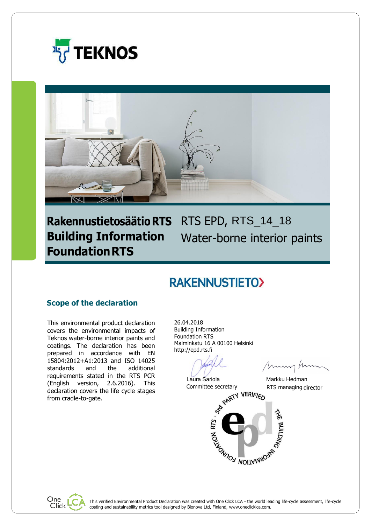



# Rakennustietosäätio RTS RTS EPD, RTS\_14\_18 **Building Information FoundationRTS**

Water-borne interior paints

# **RAKENNUSTIETO>**

# **Scope of the declaration**

This environmental product declaration covers the environmental impacts of Teknos water-borne interior paints and coatings. The declaration has been prepared in accordance with EN 15804:2012+A1:2013 and ISO 14025 standards and the additional requirements stated in the RTS PCR (English version, 2.6.2016). This declaration covers the life cycle stages from cradle-to-gate.

26.04.2018 Building Information Foundation RTS Malminkatu 16 A 00100 Helsinki http://epd.rts.fi

Laura Sariola **Markku Hedman** 

Mm

Committee secretary RTS managing director<br>
STY VERIFIED



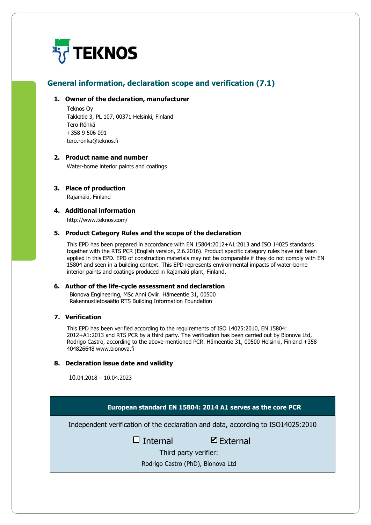

# **General information, declaration scope and verification (7.1)**

#### **1. Owner of the declaration, manufacturer**

Teknos Oy Takkatie 3, PL 107, 00371 Helsinki, Finland Tero Rönkä +358 9 506 091 tero.ronka@teknos.fi

### **2. Product name and number**

Water-borne interior paints and coatings

#### **3. Place of production**

Rajamäki, Finland

### **4. Additional information**

<http://www.teknos.com/>

#### **5. Product Category Rules and the scope of the declaration**

This EPD has been prepared in accordance with EN 15804:2012+A1:2013 and ISO 14025 standards together with the RTS PCR (English version, 2.6.2016). Product specific category rules have not been applied in this EPD. EPD of construction materials may not be comparable if they do not comply with EN 15804 and seen in a building context. This EPD represents environmental impacts of water-borne interior paints and coatings produced in Rajamäki plant, Finland.

#### **6. Author of the life-cycle assessment and declaration**

Bionova Engineering, MSc Anni Oviir. Hämeentie 31, 00500 Rakennustietosäätio RTS Building Information Foundation

### **7. Verification**

This EPD has been verified according to the requirements of ISO 14025:2010, EN 15804: 2012+A1:2013 and RTS PCR by a third party. The verification has been carried out by Bionova Ltd, Rodrigo Castro, according to the above-mentioned PCR. Hämeentie 31, 00500 Helsinki, Finland +358 404826648 www.bionova.fi

#### **8. Declaration issue date and validity**

10.04.2018 – 10.04.2023

| European standard EN 15804: 2014 A1 serves as the core PCR                       |                      |  |  |  |  |  |
|----------------------------------------------------------------------------------|----------------------|--|--|--|--|--|
| Independent verification of the declaration and data, according to ISO14025:2010 |                      |  |  |  |  |  |
| $\Box$ Internal                                                                  | $\boxtimes$ External |  |  |  |  |  |
| Third party verifier:                                                            |                      |  |  |  |  |  |
| Rodrigo Castro (PhD), Bionova Ltd                                                |                      |  |  |  |  |  |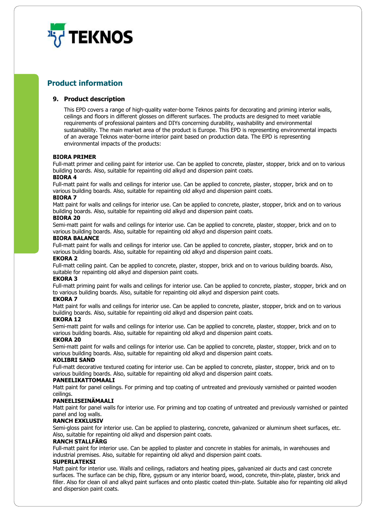

# **Product information**

#### **9. Product description**

This EPD covers a range of high-quality water-borne Teknos paints for decorating and priming interior walls, ceilings and floors in different glosses on different surfaces. The products are designed to meet variable requirements of professional painters and DIYs concerning durability, washability and environmental sustainability. The main market area of the product is Europe. This EPD is representing environmental impacts of an average Teknos water-borne interior paint based on production data. The EPD is representing environmental impacts of the products:

#### **BIORA PRIMER**

Full-matt primer and ceiling paint for interior use. Can be applied to concrete, plaster, stopper, brick and on to various building boards. Also, suitable for repainting old alkyd and dispersion paint coats.

#### **BIORA 4**

Full-matt paint for walls and ceilings for interior use. Can be applied to concrete, plaster, stopper, brick and on to various building boards. Also, suitable for repainting old alkyd and dispersion paint coats.

#### **BIORA 7**

Matt paint for walls and ceilings for interior use. Can be applied to concrete, plaster, stopper, brick and on to various building boards. Also, suitable for repainting old alkyd and dispersion paint coats.

#### **BIORA 20**

Semi-matt paint for walls and ceilings for interior use. Can be applied to concrete, plaster, stopper, brick and on to various building boards. Also, suitable for repainting old alkyd and dispersion paint coats.

#### **BIORA BALANCE**

Full-matt paint for walls and ceilings for interior use. Can be applied to concrete, plaster, stopper, brick and on to various building boards. Also, suitable for repainting old alkyd and dispersion paint coats.

#### **EKORA 2**

Full-matt ceiling paint. Can be applied to concrete, plaster, stopper, brick and on to various building boards. Also, suitable for repainting old alkyd and dispersion paint coats.

#### **EKORA 3**

Full-matt priming paint for walls and ceilings for interior use. Can be applied to concrete, plaster, stopper, brick and on to various building boards. Also, suitable for repainting old alkyd and dispersion paint coats.

#### **EKORA 7**

Matt paint for walls and ceilings for interior use. Can be applied to concrete, plaster, stopper, brick and on to various building boards. Also, suitable for repainting old alkyd and dispersion paint coats.

#### **EKORA 12**

Semi-matt paint for walls and ceilings for interior use. Can be applied to concrete, plaster, stopper, brick and on to various building boards. Also, suitable for repainting old alkyd and dispersion paint coats.

#### **EKORA 20**

Semi-matt paint for walls and ceilings for interior use. Can be applied to concrete, plaster, stopper, brick and on to various building boards. Also, suitable for repainting old alkyd and dispersion paint coats.

#### **KOLIBRI SAND**

Full-matt decorative textured coating for interior use. Can be applied to concrete, plaster, stopper, brick and on to various building boards. Also, suitable for repainting old alkyd and dispersion paint coats.

#### **PANEELIKATTOMAALI**

Matt paint for panel ceilings. For priming and top coating of untreated and previously varnished or painted wooden ceilings.

#### **PANEELISEINÄMAALI**

Matt paint for panel walls for interior use. For priming and top coating of untreated and previously varnished or painted panel and log walls.

#### **RANCH EXKLUSIV**

Semi-gloss paint for interior use. Can be applied to plastering, concrete, galvanized or aluminum sheet surfaces, etc. Also, suitable for repainting old alkyd and dispersion paint coats.

#### **RANCH STALLFÄRG**

Full-matt paint for interior use. Can be applied to plaster and concrete in stables for animals, in warehouses and industrial premises. Also, suitable for repainting old alkyd and dispersion paint coats.

#### **SUPERLATEKSI**

Matt paint for interior use. Walls and ceilings, radiators and heating pipes, galvanized air ducts and cast concrete surfaces. The surface can be chip, fibre, gypsum or any interior board, wood, concrete, thin-plate, plaster, brick and filler. Also for clean oil and alkyd paint surfaces and onto plastic coated thin-plate. Suitable also for repainting old alkyd and dispersion paint coats.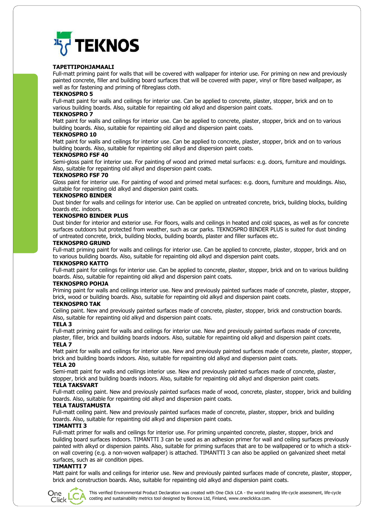

#### **TAPETTIPOHJAMAALI**

Full-matt priming paint for walls that will be covered with wallpaper for interior use. For priming on new and previously painted concrete, filler and building board surfaces that will be covered with paper, vinyl or fibre based wallpaper, as well as for fastening and priming of fibreglass cloth.

#### **TEKNOSPRO 5**

Full-matt paint for walls and ceilings for interior use. Can be applied to concrete, plaster, stopper, brick and on to various building boards. Also, suitable for repainting old alkyd and dispersion paint coats.

#### **TEKNOSPRO 7**

Matt paint for walls and ceilings for interior use. Can be applied to concrete, plaster, stopper, brick and on to various building boards. Also, suitable for repainting old alkyd and dispersion paint coats.

#### **TEKNOSPRO 10**

Matt paint for walls and ceilings for interior use. Can be applied to concrete, plaster, stopper, brick and on to various building boards. Also, suitable for repainting old alkyd and dispersion paint coats.

#### **TEKNOSPRO FSF 40**

Semi-gloss paint for interior use. For painting of wood and primed metal surfaces: e.g. doors, furniture and mouldings. Also, suitable for repainting old alkyd and dispersion paint coats.

#### **TEKNOSPRO FSF 70**

Gloss paint for interior use. For painting of wood and primed metal surfaces: e.g. doors, furniture and mouldings. Also, suitable for repainting old alkyd and dispersion paint coats.

#### **TEKNOSPRO BINDER**

Dust binder for walls and ceilings for interior use. Can be applied on untreated concrete, brick, building blocks, building boards etc. indoors.

#### **TEKNOSPRO BINDER PLUS**

Dust binder for interior and exterior use. For floors, walls and ceilings in heated and cold spaces, as well as for concrete surfaces outdoors but protected from weather, such as car parks. TEKNOSPRO BINDER PLUS is suited for dust binding of untreated concrete, brick, building blocks, building boards, plaster and filler surfaces etc.

#### **TEKNOSPRO GRUND**

Full-matt priming paint for walls and ceilings for interior use. Can be applied to concrete, plaster, stopper, brick and on to various building boards. Also, suitable for repainting old alkyd and dispersion paint coats.

#### **TEKNOSPRO KATTO**

Full-matt paint for ceilings for interior use. Can be applied to concrete, plaster, stopper, brick and on to various building boards. Also, suitable for repainting old alkyd and dispersion paint coats.

#### **TEKNOSPRO POHJA**

Priming paint for walls and ceilings interior use. New and previously painted surfaces made of concrete, plaster, stopper, brick, wood or building boards. Also, suitable for repainting old alkyd and dispersion paint coats.

#### **TEKNOSPRO TAK**

Ceiling paint. New and previously painted surfaces made of concrete, plaster, stopper, brick and construction boards. Also, suitable for repainting old alkyd and dispersion paint coats.

#### **TELA 3**

Full-matt priming paint for walls and ceilings for interior use. New and previously painted surfaces made of concrete, plaster, filler, brick and building boards indoors. Also, suitable for repainting old alkyd and dispersion paint coats. **TELA 7**

Matt paint for walls and ceilings for interior use. New and previously painted surfaces made of concrete, plaster, stopper, brick and building boards indoors. Also, suitable for repainting old alkyd and dispersion paint coats.

#### **TELA 20**

Semi-matt paint for walls and ceilings interior use. New and previously painted surfaces made of concrete, plaster, stopper, brick and building boards indoors. Also, suitable for repainting old alkyd and dispersion paint coats.

#### **TELA TAKSVART**

Full-matt ceiling paint. New and previously painted surfaces made of wood, concrete, plaster, stopper, brick and building boards. Also, suitable for repainting old alkyd and dispersion paint coats.

#### **TELA TAUSTAMUSTA**

Full-matt ceiling paint. New and previously painted surfaces made of concrete, plaster, stopper, brick and building boards. Also, suitable for repainting old alkyd and dispersion paint coats.

#### **TIMANTTI 3**

Full-matt primer for walls and ceilings for interior use. For priming unpainted concrete, plaster, stopper, brick and building board surfaces indoors. TIMANTTI 3 can be used as an adhesion primer for wall and ceiling surfaces previously painted with alkyd or dispersion paints. Also, suitable for priming surfaces that are to be wallpapered or to which a stickon wall covering (e.g. a non-woven wallpaper) is attached. TIMANTTI 3 can also be applied on galvanized sheet metal surfaces, such as air condition pipes.

#### **TIMANTTI 7**

Matt paint for walls and ceilings for interior use. New and previously painted surfaces made of concrete, plaster, stopper, brick and construction boards. Also, suitable for repainting old alkyd and dispersion paint coats.



This verified Environmental Product Declaration was created with One Click LCA - the world leading life-cycle assessment, life-cycle costing and sustainability metrics tool designed by Bionova Ltd, Finland, [www.oneclicklca.com.](http://www.oneclicklca.com/)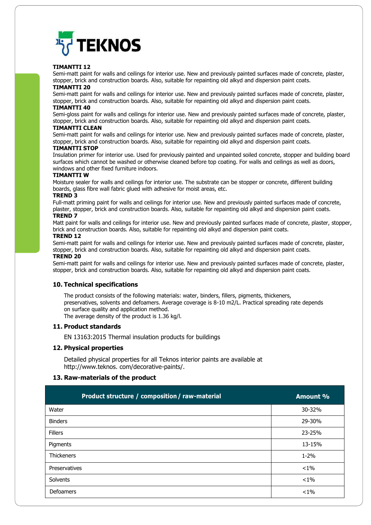

#### **TIMANTTI 12**

Semi-matt paint for walls and ceilings for interior use. New and previously painted surfaces made of concrete, plaster, stopper, brick and construction boards. Also, suitable for repainting old alkyd and dispersion paint coats.

### **TIMANTTI 20**

Semi-matt paint for walls and ceilings for interior use. New and previously painted surfaces made of concrete, plaster, stopper, brick and construction boards. Also, suitable for repainting old alkyd and dispersion paint coats.

#### **TIMANTTI 40**

Semi-gloss paint for walls and ceilings for interior use. New and previously painted surfaces made of concrete, plaster, stopper, brick and construction boards. Also, suitable for repainting old alkyd and dispersion paint coats.

#### **TIMANTTI CLEAN**

Semi-matt paint for walls and ceilings for interior use. New and previously painted surfaces made of concrete, plaster, stopper, brick and construction boards. Also, suitable for repainting old alkyd and dispersion paint coats.

#### **TIMANTTI STOP**

Insulation primer for interior use. Used for previously painted and unpainted soiled concrete, stopper and building board surfaces which cannot be washed or otherwise cleaned before top coating. For walls and ceilings as well as doors, windows and other fixed furniture indoors.

#### **TIMANTTI W**

Moisture sealer for walls and ceilings for interior use. The substrate can be stopper or concrete, different building boards, glass fibre wall fabric glued with adhesive for moist areas, etc.

#### **TREND 3**

Full-matt priming paint for walls and ceilings for interior use. New and previously painted surfaces made of concrete, plaster, stopper, brick and construction boards. Also, suitable for repainting old alkyd and dispersion paint coats.

#### **TREND 7**

Matt paint for walls and ceilings for interior use. New and previously painted surfaces made of concrete, plaster, stopper, brick and construction boards. Also, suitable for repainting old alkyd and dispersion paint coats.

#### **TREND 12**

Semi-matt paint for walls and ceilings for interior use. New and previously painted surfaces made of concrete, plaster, stopper, brick and construction boards. Also, suitable for repainting old alkyd and dispersion paint coats.

#### **TREND 20**

Semi-matt paint for walls and ceilings for interior use. New and previously painted surfaces made of concrete, plaster, stopper, brick and construction boards. Also, suitable for repainting old alkyd and dispersion paint coats.

#### **10. Technical specifications**

The product consists of the following materials: water, binders, fillers, pigments, thickeners, preservatives, solvents and defoamers. Average coverage is 8-10 m2/L. Practical spreading rate depends on surface quality and application method. The average density of the product is 1.36 kg/l.

# **11. Product standards**

EN 13163:2015 Thermal insulation products for buildings

#### **12. Physical properties**

Detailed physical properties for all Teknos interior paints are available at http://www.teknos. com/decorative-paints/.

#### **13. Raw-materials of the product**

| Product structure / composition / raw-material | Amount % |
|------------------------------------------------|----------|
| Water                                          | 30-32%   |
| <b>Binders</b>                                 | 29-30%   |
| <b>Fillers</b>                                 | 23-25%   |
| Pigments                                       | 13-15%   |
| <b>Thickeners</b>                              | $1 - 2%$ |
| Preservatives                                  | $< 1\%$  |
| Solvents                                       | $< 1\%$  |
| <b>Defoamers</b>                               | $< 1\%$  |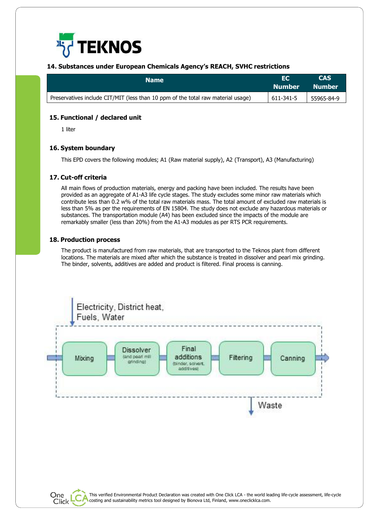

#### **14. Substances under European Chemicals Agency's REACH, SVHC restrictions**

| <b>Name</b>                                                                      | I EC<br>Number Number                                                                  | <b>CAS</b> |
|----------------------------------------------------------------------------------|----------------------------------------------------------------------------------------|------------|
| Preservatives include CIT/MIT (less than 10 ppm of the total raw material usage) | $\begin{array}{ c c c c c } \hline 611-341-5 & \hline & 55965-84-9 \hline \end{array}$ |            |

#### **15. Functional / declared unit**

1 liter

#### **16. System boundary**

This EPD covers the following modules; A1 (Raw material supply), A2 (Transport), A3 (Manufacturing)

#### **17. Cut-off criteria**

All main flows of production materials, energy and packing have been included. The results have been provided as an aggregate of A1-A3 life cycle stages. The study excludes some minor raw materials which contribute less than 0.2 w% of the total raw materials mass. The total amount of excluded raw materials is less than 5% as per the requirements of EN 15804. The study does not exclude any hazardous materials or substances. The transportation module (A4) has been excluded since the impacts of the module are remarkably smaller (less than 20%) from the A1-A3 modules as per RTS PCR requirements.

#### **18. Production process**

The product is manufactured from raw materials, that are transported to the Teknos plant from different locations. The materials are mixed after which the substance is treated in dissolver and pearl mix grinding. The binder, solvents, additives are added and product is filtered. Final process is canning.

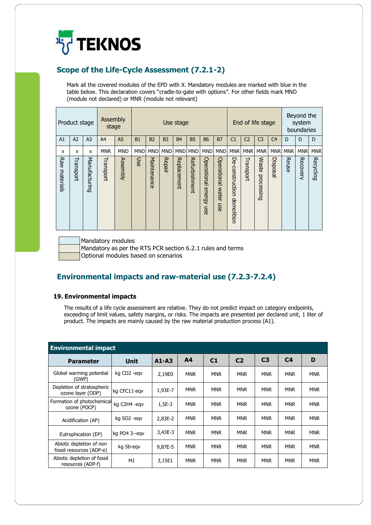

# **Scope of the Life-Cycle Assessment (7.2.1-2)**

Mark all the covered modules of the EPD with X. Mandatory modules are marked with blue in the table below. This declaration covers "cradle-to-gate with options". For other fields mark MND (module not declared) or MNR (module not relevant)

|                  | Product stage  |                |                | Assembly<br>End of life stage<br>Use stage<br>stage |            |                |                |             |               |                              |                                    |                               |                | Beyond the<br>system<br>boundaries |                |            |            |                  |
|------------------|----------------|----------------|----------------|-----------------------------------------------------|------------|----------------|----------------|-------------|---------------|------------------------------|------------------------------------|-------------------------------|----------------|------------------------------------|----------------|------------|------------|------------------|
| A1               | A <sub>2</sub> | A <sub>3</sub> | A <sup>4</sup> | A <sub>5</sub>                                      | B1         | B <sub>2</sub> | B <sub>3</sub> | <b>B4</b>   | <b>B5</b>     | <b>B6</b>                    | <b>B7</b>                          | C <sub>1</sub>                | C <sub>2</sub> | C <sub>3</sub>                     | C <sub>4</sub> | D          | D          | D                |
| X                | x              | X              | <b>MNR</b>     | <b>MND</b>                                          | <b>MND</b> | <b>MND</b>     | <b>MND</b>     | <b>MND</b>  | <b>MND</b>    | <b>MND</b>                   | <b>MND</b>                         | <b>MNR</b>                    | <b>MNR</b>     | <b>MNR</b>                         | <b>MNR</b>     | <b>MNR</b> | <b>MNR</b> | <b>MNR</b>       |
| Raw<br>materials | Transport      | Manufacturing  | Transport      | Assembly                                            | Use        | Maintenance    | Repair         | Replacement | Refurbishment | Operational<br>energy<br>mse | Operational<br><b>Water</b><br>mse | De-construction<br>demolition | Transport      | Waste<br>processing                | Disposal       | Reuse      | Recovery   | <b>Recycling</b> |

Mandatory modules

Mandatory as per the RTS PCR section 6.2.1 rules and terms

Optional modules based on scenarios

# **Environmental impacts and raw-material use (7.2.3-7.2.4)**

#### **19. Environmental impacts**

The results of a life cycle assessment are relative. They do not predict impact on category endpoints, exceeding of limit values, safety margins, or risks. The impacts are presented per declared unit, 1 liter of product. The impacts are mainly caused by the raw material production process (A1).

| <b>Environmental impact</b>                          |                         |           |            |            |                |                |                |            |
|------------------------------------------------------|-------------------------|-----------|------------|------------|----------------|----------------|----------------|------------|
| <b>Parameter</b>                                     | <b>Unit</b>             | $A1 - A3$ | A4         | C1         | C <sub>2</sub> | C <sub>3</sub> | C <sub>4</sub> | D          |
| Global warming potential<br>(GWP)                    | kg CO <sub>2</sub> -egv | 2,19E0    | <b>MNR</b> | <b>MNR</b> | <b>MNR</b>     | <b>MNR</b>     | <b>MNR</b>     | <b>MNR</b> |
| Depletion of stratospheric<br>ozone layer (ODP)      | kg CFC11-egv            | 1,93E-7   | <b>MNR</b> | <b>MNR</b> | <b>MNR</b>     | <b>MNR</b>     | <b>MNR</b>     | <b>MNR</b> |
| Formation of photochemical<br>ozone (POCP)           | kg C2H4 -eqv            | $1,5E-3$  | <b>MNR</b> | <b>MNR</b> | <b>MNR</b>     | <b>MNR</b>     | <b>MNR</b>     | <b>MNR</b> |
| Acidification (AP)                                   | kg SO <sub>2</sub> -egv | 2,83E-2   | <b>MNR</b> | <b>MNR</b> | <b>MNR</b>     | <b>MNR</b>     | <b>MNR</b>     | <b>MNR</b> |
| Eutrophication (EP)                                  | kg PO4 3--egv           | 3,43E-3   | <b>MNR</b> | <b>MNR</b> | <b>MNR</b>     | <b>MNR</b>     | <b>MNR</b>     | <b>MNR</b> |
| Abiotic depletion of non<br>fossil resources (ADP-e) | kg Sb-egv               | 9.87E-5   | <b>MNR</b> | <b>MNR</b> | <b>MNR</b>     | <b>MNR</b>     | <b>MNR</b>     | <b>MNR</b> |
| Abiotic depletion of fossil<br>resources (ADP-f)     | MJ                      | 3,15E1    | <b>MNR</b> | <b>MNR</b> | <b>MNR</b>     | <b>MNR</b>     | <b>MNR</b>     | <b>MNR</b> |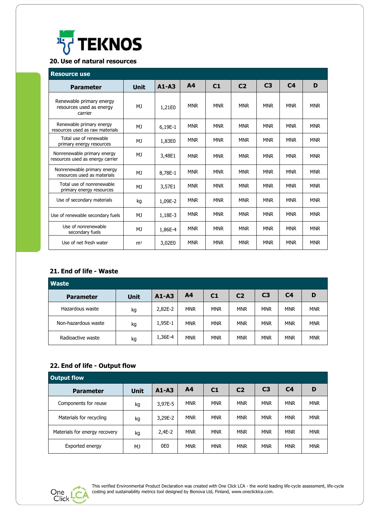

# **20. Use of natural resources**

| <b>Resource use</b>                                             |                |           |                |            |                |                |                |            |
|-----------------------------------------------------------------|----------------|-----------|----------------|------------|----------------|----------------|----------------|------------|
| <b>Parameter</b>                                                | <b>Unit</b>    | $A1 - A3$ | A <sub>4</sub> | C1         | C <sub>2</sub> | C <sub>3</sub> | C <sub>4</sub> | D          |
| Renewable primary energy<br>resources used as energy<br>carrier | MJ             | 1,21E0    | <b>MNR</b>     | <b>MNR</b> | <b>MNR</b>     | <b>MNR</b>     | <b>MNR</b>     | <b>MNR</b> |
| Renewable primary energy<br>resources used as raw materials     | MJ             | 6,19E-1   | <b>MNR</b>     | <b>MNR</b> | <b>MNR</b>     | <b>MNR</b>     | <b>MNR</b>     | <b>MNR</b> |
| Total use of renewable<br>primary energy resources              | MJ             | 1,83E0    | <b>MNR</b>     | <b>MNR</b> | <b>MNR</b>     | <b>MNR</b>     | <b>MNR</b>     | <b>MNR</b> |
| Nonrenewable primary energy<br>resources used as energy carrier | MJ             | 3,48E1    | <b>MNR</b>     | <b>MNR</b> | <b>MNR</b>     | <b>MNR</b>     | <b>MNR</b>     | <b>MNR</b> |
| Nonrenewable primary energy<br>resources used as materials      | MJ             | 8,78E-1   | <b>MNR</b>     | <b>MNR</b> | <b>MNR</b>     | <b>MNR</b>     | <b>MNR</b>     | <b>MNR</b> |
| Total use of nonrenewable<br>primary energy resources           | MJ             | 3,57E1    | <b>MNR</b>     | <b>MNR</b> | <b>MNR</b>     | <b>MNR</b>     | <b>MNR</b>     | <b>MNR</b> |
| Use of secondary materials                                      | kg             | 1,09E-2   | <b>MNR</b>     | <b>MNR</b> | <b>MNR</b>     | <b>MNR</b>     | <b>MNR</b>     | <b>MNR</b> |
| Use of renewable secondary fuels                                | MJ             | 1,18E-3   | <b>MNR</b>     | <b>MNR</b> | <b>MNR</b>     | <b>MNR</b>     | <b>MNR</b>     | <b>MNR</b> |
| Use of nonrenewable<br>secondary fuels                          | MJ             | 1,86E-4   | <b>MNR</b>     | <b>MNR</b> | <b>MNR</b>     | <b>MNR</b>     | <b>MNR</b>     | <b>MNR</b> |
| Use of net fresh water                                          | m <sup>3</sup> | 3,02E0    | <b>MNR</b>     | <b>MNR</b> | <b>MNR</b>     | <b>MNR</b>     | <b>MNR</b>     | <b>MNR</b> |

## **21. End of life - Waste**

| <b>Waste</b>        |             |           |                |            |                |                |                |            |
|---------------------|-------------|-----------|----------------|------------|----------------|----------------|----------------|------------|
| <b>Parameter</b>    | <b>Unit</b> | $A1 - A3$ | A <sub>4</sub> | C1         | C <sub>2</sub> | C <sub>3</sub> | C <sub>4</sub> | D          |
| Hazardous waste     | kg          | 2,82E-2   | <b>MNR</b>     | <b>MNR</b> | <b>MNR</b>     | <b>MNR</b>     | <b>MNR</b>     | <b>MNR</b> |
| Non-hazardous waste | kg          | 1,95E-1   | <b>MNR</b>     | <b>MNR</b> | <b>MNR</b>     | <b>MNR</b>     | <b>MNR</b>     | <b>MNR</b> |
| Radioactive waste   | kg          | 1,36E-4   | <b>MNR</b>     | <b>MNR</b> | <b>MNR</b>     | <b>MNR</b>     | <b>MNR</b>     | <b>MNR</b> |

# **22. End of life - Output flow**

| <b>Output flow</b>            |             |                 |                |            |                |                |            |            |
|-------------------------------|-------------|-----------------|----------------|------------|----------------|----------------|------------|------------|
| <b>Parameter</b>              | <b>Unit</b> | $A1 - A3$       | A <sub>4</sub> | C1         | C <sub>2</sub> | C <sub>3</sub> | C4         | D          |
| Components for reuse          | kg          | 3,97E-5         | <b>MNR</b>     | <b>MNR</b> | <b>MNR</b>     | <b>MNR</b>     | <b>MNR</b> | <b>MNR</b> |
| Materials for recycling       | kg          | 3,29E-2         | <b>MNR</b>     | <b>MNR</b> | <b>MNR</b>     | <b>MNR</b>     | <b>MNR</b> | <b>MNR</b> |
| Materials for energy recovery | kg          | $2,4E-2$        | <b>MNR</b>     | <b>MNR</b> | <b>MNR</b>     | <b>MNR</b>     | <b>MNR</b> | <b>MNR</b> |
| Exported energy               | MJ          | 0E <sub>0</sub> | <b>MNR</b>     | <b>MNR</b> | <b>MNR</b>     | <b>MNR</b>     | <b>MNR</b> | <b>MNR</b> |



This verified Environmental Product Declaration was created with One Click LCA - the world leading life-cycle assessment, life-cycle costing and sustainability metrics tool designed by Bionova Ltd, Finland[, www.oneclicklca.com.](http://www.oneclicklca.com/)